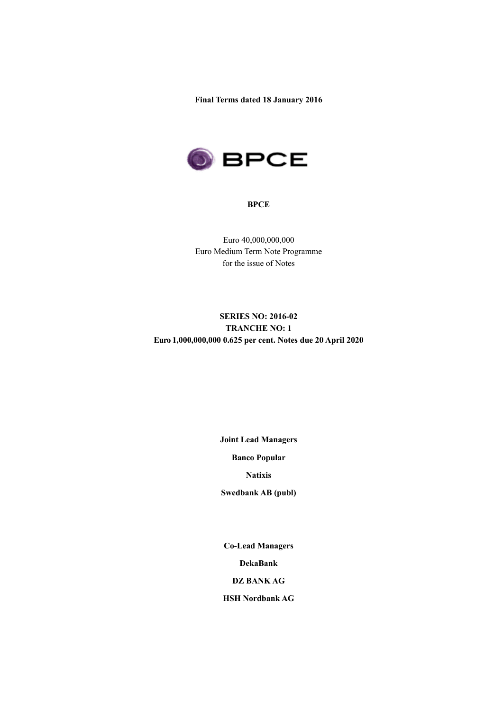**Final Terms dated 18 January 2016**



#### **BPCE**

Euro 40,000,000,000 Euro Medium Term Note Programme for the issue of Notes

## **SERIES NO: 2016-02 TRANCHE NO: 1 Euro 1,000,000,000 0.625 per cent. Notes due 20 April 2020**

**Joint Lead Managers**

**Banco Popular**

**Natixis**

**Swedbank AB (publ)**

**Co-Lead Managers DekaBank DZ BANK AG HSH Nordbank AG**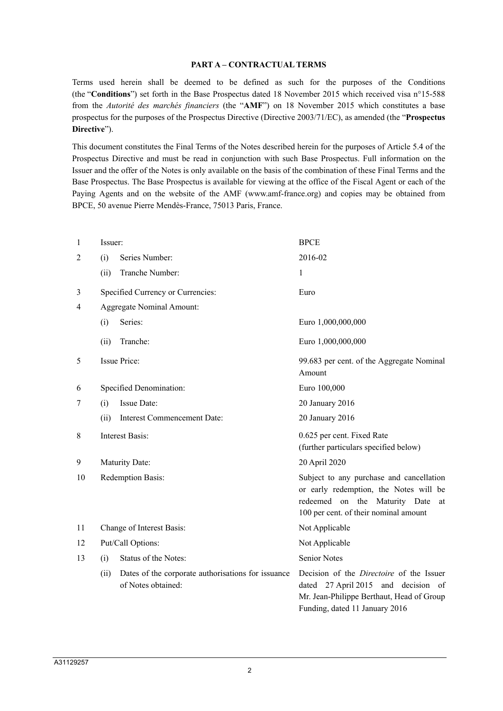### **PART A – CONTRACTUAL TERMS**

Terms used herein shall be deemed to be defined as such for the purposes of the Conditions (the "**Conditions**") set forth in the Base Prospectus dated 18 November 2015 which received visa n°15-588 from the *Autorité des marchés financiers* (the "**AMF**") on 18 November 2015 which constitutes a base prospectus for the purposes of the Prospectus Directive (Directive 2003/71/EC), as amended (the "**Prospectus Directive**").

This document constitutes the Final Terms of the Notes described herein for the purposes of Article 5.4 of the Prospectus Directive and must be read in conjunction with such Base Prospectus. Full information on the Issuer and the offer of the Notes is only available on the basis of the combination of these Final Terms and the Base Prospectus. The Base Prospectus is available for viewing at the office of the Fiscal Agent or each of the Paying Agents and on the website of the AMF (www.amf-france.org) and copies may be obtained from BPCE, 50 avenue Pierre Mendès-France, 75013 Paris, France.

| 1              | Issuer: |                                                                          | <b>BPCE</b>                                                                                                                                                           |
|----------------|---------|--------------------------------------------------------------------------|-----------------------------------------------------------------------------------------------------------------------------------------------------------------------|
| $\overline{2}$ | (i)     | Series Number:                                                           | 2016-02                                                                                                                                                               |
|                | (ii)    | Tranche Number:                                                          | 1                                                                                                                                                                     |
| 3              |         | Specified Currency or Currencies:                                        | Euro                                                                                                                                                                  |
| 4              |         | <b>Aggregate Nominal Amount:</b>                                         |                                                                                                                                                                       |
|                | (i)     | Series:                                                                  | Euro 1,000,000,000                                                                                                                                                    |
|                | (ii)    | Tranche:                                                                 | Euro 1,000,000,000                                                                                                                                                    |
| 5              |         | <b>Issue Price:</b>                                                      | 99.683 per cent. of the Aggregate Nominal<br>Amount                                                                                                                   |
| 6              |         | Specified Denomination:                                                  | Euro 100,000                                                                                                                                                          |
| 7              | (i)     | Issue Date:                                                              | 20 January 2016                                                                                                                                                       |
|                | (ii)    | <b>Interest Commencement Date:</b>                                       | 20 January 2016                                                                                                                                                       |
| 8              |         | <b>Interest Basis:</b>                                                   | 0.625 per cent. Fixed Rate<br>(further particulars specified below)                                                                                                   |
| 9              |         | Maturity Date:                                                           | 20 April 2020                                                                                                                                                         |
| 10             |         | Redemption Basis:                                                        | Subject to any purchase and cancellation<br>or early redemption, the Notes will be<br>redeemed on the Maturity Date<br>at<br>100 per cent. of their nominal amount    |
| 11             |         | Change of Interest Basis:                                                | Not Applicable                                                                                                                                                        |
| 12             |         | Put/Call Options:                                                        | Not Applicable                                                                                                                                                        |
| 13             | (i)     | Status of the Notes:                                                     | <b>Senior Notes</b>                                                                                                                                                   |
|                | (ii)    | Dates of the corporate authorisations for issuance<br>of Notes obtained: | Decision of the <i>Directoire</i> of the Issuer<br>dated 27 April 2015 and decision of<br>Mr. Jean-Philippe Berthaut, Head of Group<br>Funding, dated 11 January 2016 |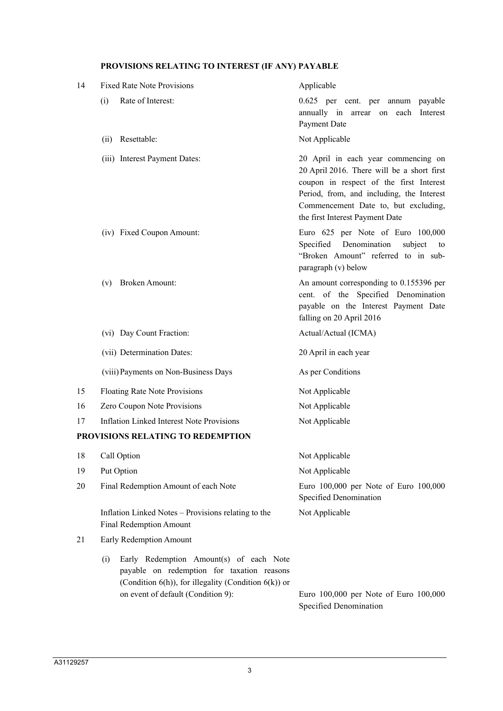# **PROVISIONS RELATING TO INTEREST (IF ANY) PAYABLE**

| 14 | <b>Fixed Rate Note Provisions</b>                                                                                                                                                                | Applicable                                                                                                                                                                                                                                           |
|----|--------------------------------------------------------------------------------------------------------------------------------------------------------------------------------------------------|------------------------------------------------------------------------------------------------------------------------------------------------------------------------------------------------------------------------------------------------------|
|    | Rate of Interest:<br>(i)                                                                                                                                                                         | 0.625 per cent. per annum payable<br>annually in arrear on each Interest<br>Payment Date                                                                                                                                                             |
|    | (ii) Resettable:                                                                                                                                                                                 | Not Applicable                                                                                                                                                                                                                                       |
|    | (iii) Interest Payment Dates:                                                                                                                                                                    | 20 April in each year commencing on<br>20 April 2016. There will be a short first<br>coupon in respect of the first Interest<br>Period, from, and including, the Interest<br>Commencement Date to, but excluding,<br>the first Interest Payment Date |
|    | (iv) Fixed Coupon Amount:                                                                                                                                                                        | Euro 625 per Note of Euro 100,000<br>Specified Denomination<br>subject<br>to<br>"Broken Amount" referred to in sub-<br>paragraph (v) below                                                                                                           |
|    | <b>Broken Amount:</b><br>(v)                                                                                                                                                                     | An amount corresponding to 0.155396 per<br>cent. of the Specified Denomination<br>payable on the Interest Payment Date<br>falling on 20 April 2016                                                                                                   |
|    | (vi) Day Count Fraction:                                                                                                                                                                         | Actual/Actual (ICMA)                                                                                                                                                                                                                                 |
|    | (vii) Determination Dates:                                                                                                                                                                       | 20 April in each year                                                                                                                                                                                                                                |
|    | (viii) Payments on Non-Business Days                                                                                                                                                             | As per Conditions                                                                                                                                                                                                                                    |
| 15 | Floating Rate Note Provisions                                                                                                                                                                    | Not Applicable                                                                                                                                                                                                                                       |
| 16 | Zero Coupon Note Provisions                                                                                                                                                                      | Not Applicable                                                                                                                                                                                                                                       |
| 17 | <b>Inflation Linked Interest Note Provisions</b>                                                                                                                                                 | Not Applicable                                                                                                                                                                                                                                       |
|    | PROVISIONS RELATING TO REDEMPTION                                                                                                                                                                |                                                                                                                                                                                                                                                      |
| 18 | Call Option                                                                                                                                                                                      | Not Applicable                                                                                                                                                                                                                                       |
| 19 | Put Option                                                                                                                                                                                       | Not Applicable                                                                                                                                                                                                                                       |
| 20 | Final Redemption Amount of each Note                                                                                                                                                             | Euro 100,000 per Note of Euro 100,000<br>Specified Denomination                                                                                                                                                                                      |
|    | Inflation Linked Notes – Provisions relating to the<br>Final Redemption Amount                                                                                                                   | Not Applicable                                                                                                                                                                                                                                       |
| 21 | Early Redemption Amount                                                                                                                                                                          |                                                                                                                                                                                                                                                      |
|    | Early Redemption Amount(s) of each Note<br>(i)<br>payable on redemption for taxation reasons<br>(Condition $6(h)$ ), for illegality (Condition $6(k)$ ) or<br>on event of default (Condition 9): | Euro 100,000 per Note of Euro 100,000<br>Specified Denomination                                                                                                                                                                                      |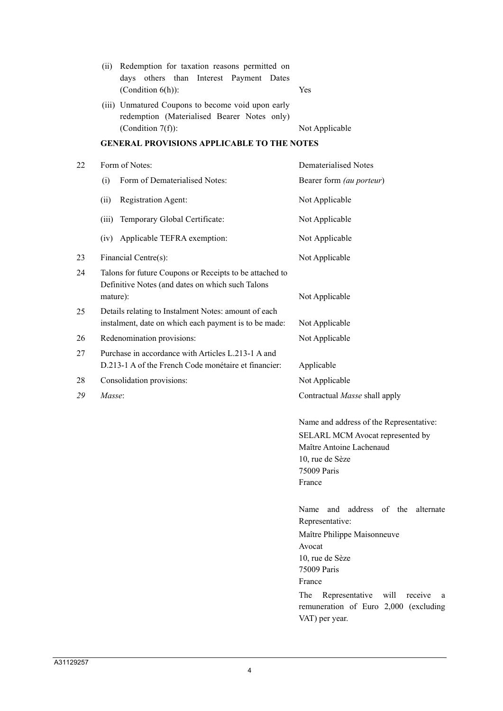|    | (ii)                                                                                                                                      | Redemption for taxation reasons permitted on<br>days others than Interest Payment Dates<br>(Condition $6(h)$ ):          | Yes                                                                                                                                                                                                                                                         |  |  |
|----|-------------------------------------------------------------------------------------------------------------------------------------------|--------------------------------------------------------------------------------------------------------------------------|-------------------------------------------------------------------------------------------------------------------------------------------------------------------------------------------------------------------------------------------------------------|--|--|
|    |                                                                                                                                           | (iii) Unmatured Coupons to become void upon early<br>redemption (Materialised Bearer Notes only)<br>(Condition $7(f)$ ): | Not Applicable                                                                                                                                                                                                                                              |  |  |
|    |                                                                                                                                           | <b>GENERAL PROVISIONS APPLICABLE TO THE NOTES</b>                                                                        |                                                                                                                                                                                                                                                             |  |  |
| 22 |                                                                                                                                           | Form of Notes:                                                                                                           | Dematerialised Notes                                                                                                                                                                                                                                        |  |  |
|    | (i)                                                                                                                                       | Form of Dematerialised Notes:                                                                                            | Bearer form (au porteur)                                                                                                                                                                                                                                    |  |  |
|    | (ii)                                                                                                                                      | Registration Agent:                                                                                                      | Not Applicable                                                                                                                                                                                                                                              |  |  |
|    | (iii)                                                                                                                                     | Temporary Global Certificate:                                                                                            | Not Applicable                                                                                                                                                                                                                                              |  |  |
|    | (iv)                                                                                                                                      | Applicable TEFRA exemption:                                                                                              | Not Applicable                                                                                                                                                                                                                                              |  |  |
| 23 |                                                                                                                                           | Financial Centre(s):                                                                                                     | Not Applicable                                                                                                                                                                                                                                              |  |  |
| 24 | Talons for future Coupons or Receipts to be attached to<br>Definitive Notes (and dates on which such Talons<br>Not Applicable<br>mature): |                                                                                                                          |                                                                                                                                                                                                                                                             |  |  |
| 25 |                                                                                                                                           | Details relating to Instalment Notes: amount of each<br>instalment, date on which each payment is to be made:            | Not Applicable                                                                                                                                                                                                                                              |  |  |
| 26 |                                                                                                                                           | Redenomination provisions:                                                                                               | Not Applicable                                                                                                                                                                                                                                              |  |  |
| 27 |                                                                                                                                           | Purchase in accordance with Articles L.213-1 A and<br>D.213-1 A of the French Code monétaire et financier:               | Applicable                                                                                                                                                                                                                                                  |  |  |
| 28 |                                                                                                                                           | Consolidation provisions:                                                                                                | Not Applicable                                                                                                                                                                                                                                              |  |  |
| 29 | Masse:                                                                                                                                    |                                                                                                                          | Contractual Masse shall apply                                                                                                                                                                                                                               |  |  |
|    |                                                                                                                                           |                                                                                                                          | Name and address of the Representative:<br>SELARL MCM Avocat represented by<br>Maître Antoine Lachenaud<br>10, rue de Sèze<br>75009 Paris<br>France                                                                                                         |  |  |
|    |                                                                                                                                           |                                                                                                                          | and address of the<br>Name<br>alternate<br>Representative:<br>Maître Philippe Maisonneuve<br>Avocat<br>10, rue de Sèze<br>75009 Paris<br>France<br>The<br>Representative<br>will<br>receive<br>a<br>remuneration of Euro 2,000 (excluding<br>VAT) per year. |  |  |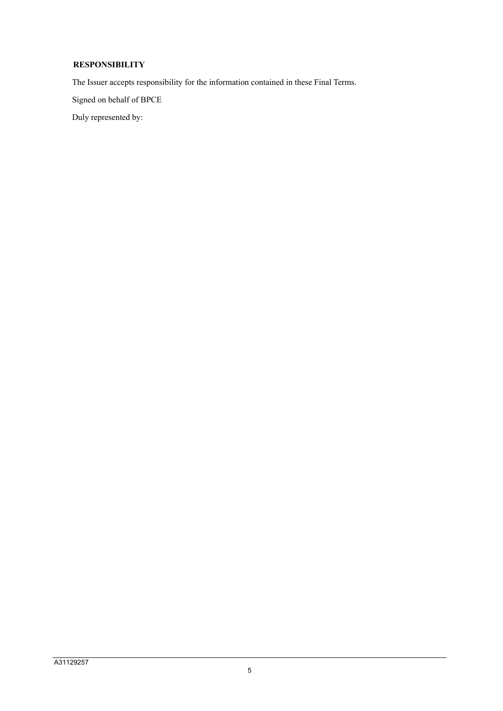### **RESPONSIBILITY**

The Issuer accepts responsibility for the information contained in these Final Terms.

Signed on behalf of BPCE

Duly represented by: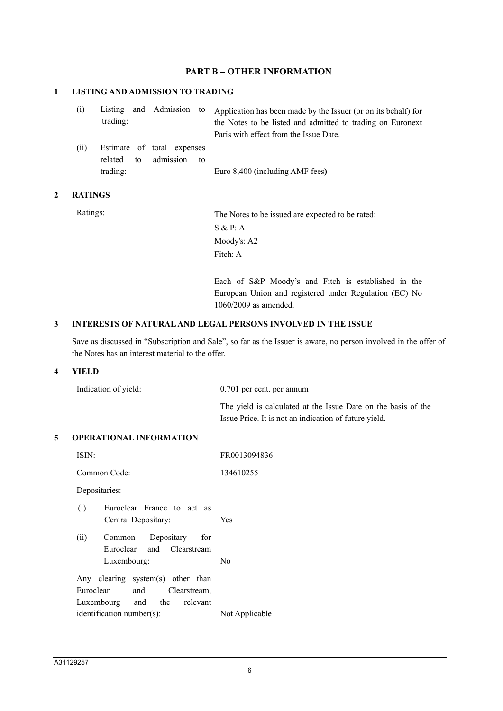### **PART B – OTHER INFORMATION**

### **1 LISTING AND ADMISSION TO TRADING**

| (i) |          |  | Listing and Admission to Application has been made by the Issuer (or on its behalf) for |
|-----|----------|--|-----------------------------------------------------------------------------------------|
|     | trading: |  | the Notes to be listed and admitted to trading on Euronext                              |
|     |          |  | Paris with effect from the Issue Date.                                                  |

(ii) Estimate of total expenses related to admission to trading: Euro 8,400 (including AMF fees**)**

### **2 RATINGS**

Ratings: The Notes to be issued are expected to be rated: S & P: A Moody's: A2 Fitch: A

> Each of S&P Moody's and Fitch is established in the European Union and registered under Regulation (EC) No 1060/2009 as amended.

### **3 INTERESTS OF NATURALAND LEGAL PERSONS INVOLVED IN THE ISSUE**

Save as discussed in "Subscription and Sale", so far as the Issuer is aware, no person involved in the offer of the Notes has an interest material to the offer.

### **4 YIELD**

| Indication of yield: | 0.701 per cent. per annum                                     |
|----------------------|---------------------------------------------------------------|
|                      | The yield is calculated at the Issue Date on the basis of the |
|                      | Issue Price. It is not an indication of future yield.         |

#### **5 OPERATIONAL INFORMATION**

| ISIN:                                                                                                                                            | FR0013094836 |  |  |  |
|--------------------------------------------------------------------------------------------------------------------------------------------------|--------------|--|--|--|
| Common Code:                                                                                                                                     | 134610255    |  |  |  |
| Depositaries:                                                                                                                                    |              |  |  |  |
| (i)<br>Euroclear France to act as<br>Central Depositary:                                                                                         | Yes          |  |  |  |
| (ii)<br>Depositary for<br>Common<br>Euroclear and Clearstream<br>Luxembourg:                                                                     | No           |  |  |  |
| Any clearing system(s) other than<br>Euroclear and Clearstream,<br>Luxembourg and the relevant<br>$identification number(s)$ :<br>Not Applicable |              |  |  |  |
|                                                                                                                                                  |              |  |  |  |